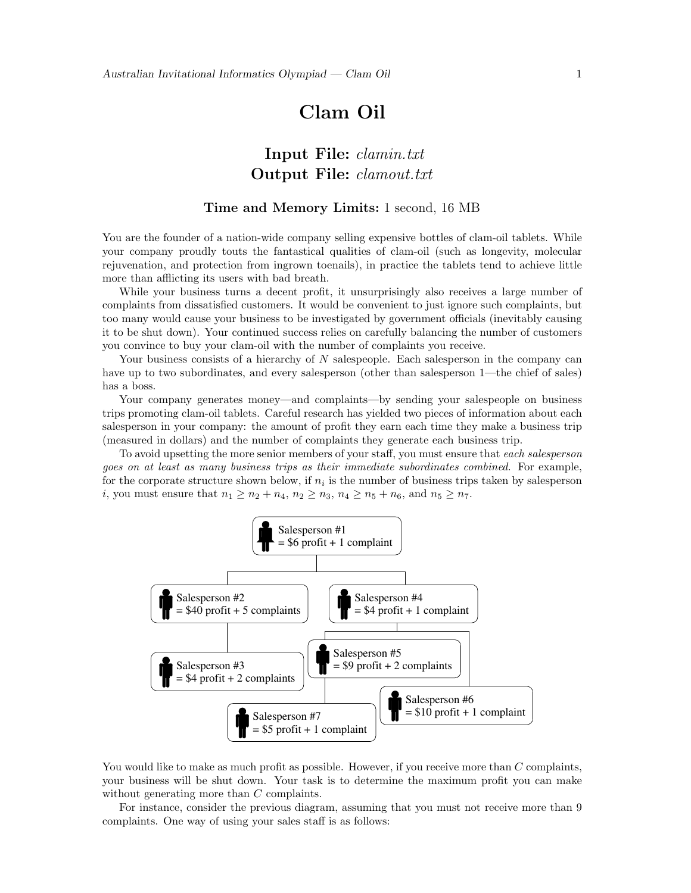# Clam Oil

## Input File: clamin.txt Output File: clamout.txt

#### Time and Memory Limits: 1 second, 16 MB

You are the founder of a nation-wide company selling expensive bottles of clam-oil tablets. While your company proudly touts the fantastical qualities of clam-oil (such as longevity, molecular rejuvenation, and protection from ingrown toenails), in practice the tablets tend to achieve little more than afflicting its users with bad breath.

While your business turns a decent profit, it unsurprisingly also receives a large number of complaints from dissatisfied customers. It would be convenient to just ignore such complaints, but too many would cause your business to be investigated by government officials (inevitably causing it to be shut down). Your continued success relies on carefully balancing the number of customers you convince to buy your clam-oil with the number of complaints you receive.

Your business consists of a hierarchy of N salespeople. Each salesperson in the company can have up to two subordinates, and every salesperson (other than salesperson 1—the chief of sales) has a boss.

Your company generates money—and complaints—by sending your salespeople on business trips promoting clam-oil tablets. Careful research has yielded two pieces of information about each salesperson in your company: the amount of profit they earn each time they make a business trip (measured in dollars) and the number of complaints they generate each business trip.

To avoid upsetting the more senior members of your staff, you must ensure that *each salesperson* goes on at least as many business trips as their immediate subordinates combined. For example, for the corporate structure shown below, if  $n_i$  is the number of business trips taken by salesperson *i*, you must ensure that  $n_1 \ge n_2 + n_4$ ,  $n_2 \ge n_3$ ,  $n_4 \ge n_5 + n_6$ , and  $n_5 \ge n_7$ .



You would like to make as much profit as possible. However, if you receive more than C complaints, your business will be shut down. Your task is to determine the maximum profit you can make without generating more than C complaints.

For instance, consider the previous diagram, assuming that you must not receive more than 9 complaints. One way of using your sales staff is as follows: